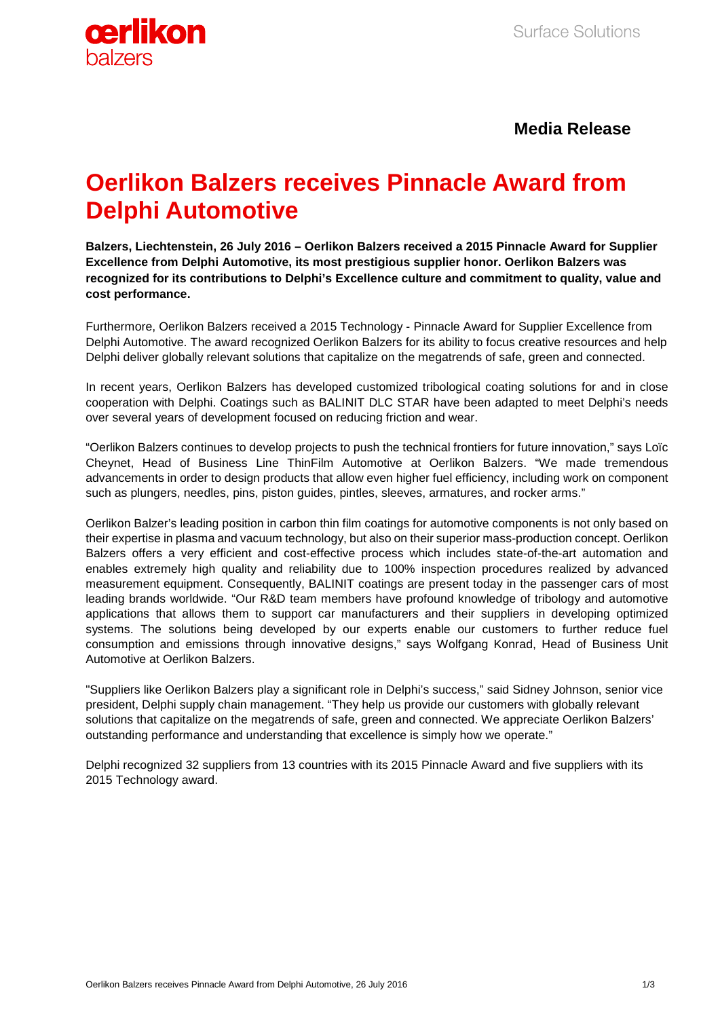

## **Media Release**

# **Oerlikon Balzers receives Pinnacle Award from Delphi Automotive**

**Balzers, Liechtenstein, 26 July 2016 – Oerlikon Balzers received a 2015 Pinnacle Award for Supplier Excellence from Delphi Automotive, its most prestigious supplier honor. Oerlikon Balzers was recognized for its contributions to Delphi's Excellence culture and commitment to quality, value and cost performance.**

Furthermore, Oerlikon Balzers received a 2015 Technology - Pinnacle Award for Supplier Excellence from Delphi Automotive. The award recognized Oerlikon Balzers for its ability to focus creative resources and help Delphi deliver globally relevant solutions that capitalize on the megatrends of safe, green and connected.

In recent years, Oerlikon Balzers has developed customized tribological coating solutions for and in close cooperation with Delphi. Coatings such as BALINIT DLC STAR have been adapted to meet Delphi's needs over several years of development focused on reducing friction and wear.

"Oerlikon Balzers continues to develop projects to push the technical frontiers for future innovation," says Loïc Cheynet, Head of Business Line ThinFilm Automotive at Oerlikon Balzers. "We made tremendous advancements in order to design products that allow even higher fuel efficiency, including work on component such as plungers, needles, pins, piston guides, pintles, sleeves, armatures, and rocker arms."

Oerlikon Balzer's leading position in carbon thin film coatings for automotive components is not only based on their expertise in plasma and vacuum technology, but also on their superior mass-production concept. Oerlikon Balzers offers a very efficient and cost-effective process which includes state-of-the-art automation and enables extremely high quality and reliability due to 100% inspection procedures realized by advanced measurement equipment. Consequently, BALINIT coatings are present today in the passenger cars of most leading brands worldwide. "Our R&D team members have profound knowledge of tribology and automotive applications that allows them to support car manufacturers and their suppliers in developing optimized systems. The solutions being developed by our experts enable our customers to further reduce fuel consumption and emissions through innovative designs," says Wolfgang Konrad, Head of Business Unit Automotive at Oerlikon Balzers.

"Suppliers like Oerlikon Balzers play a significant role in Delphi's success," said Sidney Johnson, senior vice president, Delphi supply chain management. "They help us provide our customers with globally relevant solutions that capitalize on the megatrends of safe, green and connected. We appreciate Oerlikon Balzers' outstanding performance and understanding that excellence is simply how we operate."

Delphi recognized 32 suppliers from 13 countries with its 2015 Pinnacle Award and five suppliers with its 2015 Technology award.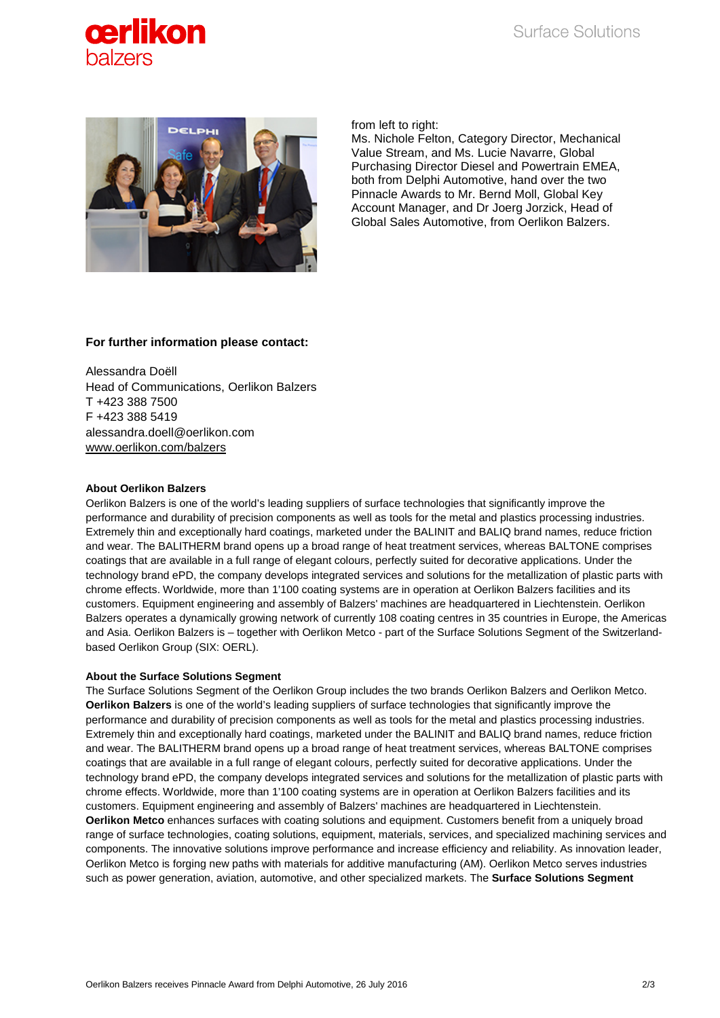



from left to right:

Ms. Nichole Felton, Category Director, Mechanical Value Stream, and Ms. Lucie Navarre, Global Purchasing Director Diesel and Powertrain EMEA, both from Delphi Automotive, hand over the two Pinnacle Awards to Mr. Bernd Moll, Global Key Account Manager, and Dr Joerg Jorzick, Head of Global Sales Automotive, from Oerlikon Balzers.

### **For further information please contact:**

Alessandra Doëll Head of Communications, Oerlikon Balzers T +423 388 7500 F +423 388 5419 alessandra.doell@oerlikon.com [www.oerlikon.com/balzers](http://www.oerlikon.com/balzers)

#### **About Oerlikon Balzers**

Oerlikon Balzers is one of the world's leading suppliers of surface technologies that significantly improve the performance and durability of precision components as well as tools for the metal and plastics processing industries. Extremely thin and exceptionally hard coatings, marketed under the BALINIT and BALIQ brand names, reduce friction and wear. The BALITHERM brand opens up a broad range of heat treatment services, whereas BALTONE comprises coatings that are available in a full range of elegant colours, perfectly suited for decorative applications. Under the technology brand ePD, the company develops integrated services and solutions for the metallization of plastic parts with chrome effects. Worldwide, more than 1'100 coating systems are in operation at Oerlikon Balzers facilities and its customers. Equipment engineering and assembly of Balzers' machines are headquartered in Liechtenstein. Oerlikon Balzers operates a dynamically growing network of currently 108 coating centres in 35 countries in Europe, the Americas and Asia. Oerlikon Balzers is – together with Oerlikon Metco - part of the Surface Solutions Segment of the Switzerlandbased Oerlikon Group (SIX: OERL).

### **About the Surface Solutions Segment**

The Surface Solutions Segment of the Oerlikon Group includes the two brands Oerlikon Balzers and Oerlikon Metco. **Oerlikon Balzers** is one of the world's leading suppliers of surface technologies that significantly improve the performance and durability of precision components as well as tools for the metal and plastics processing industries. Extremely thin and exceptionally hard coatings, marketed under the BALINIT and BALIQ brand names, reduce friction and wear. The BALITHERM brand opens up a broad range of heat treatment services, whereas BALTONE comprises coatings that are available in a full range of elegant colours, perfectly suited for decorative applications. Under the technology brand ePD, the company develops integrated services and solutions for the metallization of plastic parts with chrome effects. Worldwide, more than 1'100 coating systems are in operation at Oerlikon Balzers facilities and its customers. Equipment engineering and assembly of Balzers' machines are headquartered in Liechtenstein. **Oerlikon Metco** enhances surfaces with coating solutions and equipment. Customers benefit from a uniquely broad range of surface technologies, coating solutions, equipment, materials, services, and specialized machining services and components. The innovative solutions improve performance and increase efficiency and reliability. As innovation leader, Oerlikon Metco is forging new paths with materials for additive manufacturing (AM). Oerlikon Metco serves industries such as power generation, aviation, automotive, and other specialized markets. The **Surface Solutions Segment**